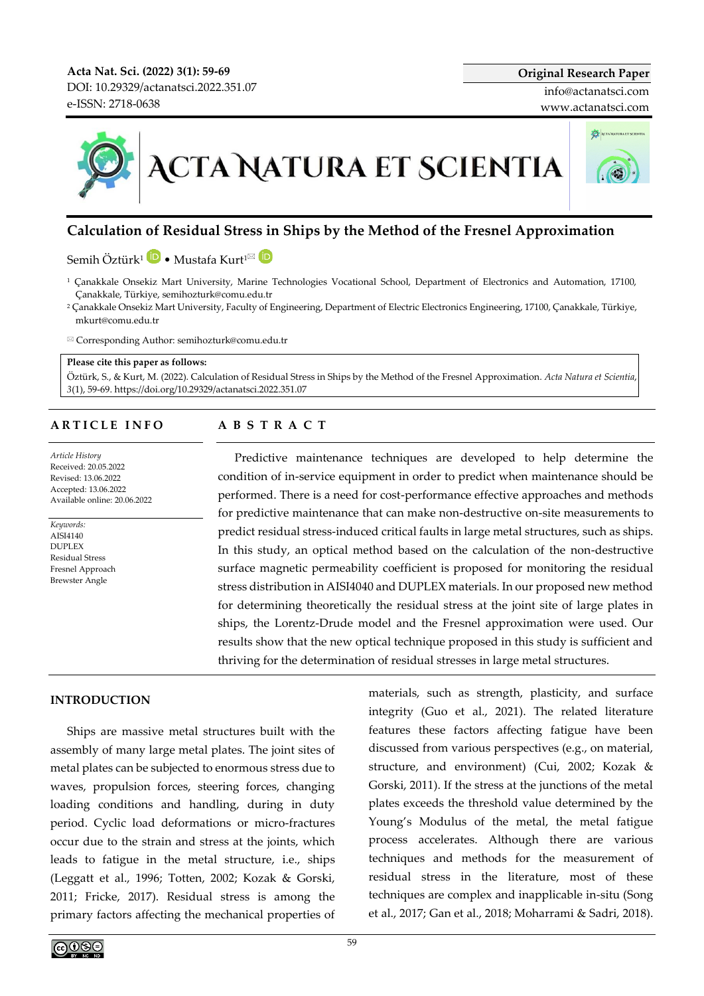**Acta Nat. Sci. (2022) 3(1): 59-69** DOI[: 10.29329/actanatsci.2022.351.07](https://doi.org/10.29329/actanatsci.2022.351.07) e-ISSN: 2718-0638

# **ACTA NATURA ET SCIENTIA**

# **Calculation of Residual Stress in Ships by the Method of the Fresnel Approximation**

Semih Öztürk<sup>1</sup> <sup>D</sup> • Mustafa Kurt<sup>1⊠</sup> D

- <sup>1</sup> Çanakkale Onsekiz Mart University, Marine Technologies Vocational School, Department of Electronics and Automation, 17100, Çanakkale, Türkiye, semihozturk@comu.edu.tr
- <sup>2</sup> Çanakkale Onsekiz Mart University, Faculty of Engineering, Department of Electric Electronics Engineering, 17100, Çanakkale, Türkiye, mkurt@comu.edu.tr
- Corresponding Author: semihozturk@comu.edu.tr

### **Please cite this paper as follows:**

Öztürk, S., & Kurt, M. (2022). Calculation of Residual Stress in Ships by the Method of the Fresnel Approximation. *Acta Natura et Scientia*, *3*(1), 59-69. https://doi.org[/10.29329/actanatsci.2022.351.07](https://doi.org/10.29329/actanatsci.2022.351.08)

### **A R T I C L E I N F O**

*Article History* Received: 20.05.2022 Revised: 13.06.2022 Accepted: 13.06.2022 Available online: 20.06.2022

*Keywords:*  AISI4140 DUPLEX Residual Stress Fresnel Approach Brewster Angle

## **A B S T R A C T**

Predictive maintenance techniques are developed to help determine the condition of in-service equipment in order to predict when maintenance should be performed. There is a need for cost-performance effective approaches and methods for predictive maintenance that can make non-destructive on-site measurements to predict residual stress-induced critical faults in large metal structures, such as ships. In this study, an optical method based on the calculation of the non-destructive surface magnetic permeability coefficient is proposed for monitoring the residual stress distribution in AISI4040 and DUPLEX materials. In our proposed new method for determining theoretically the residual stress at the joint site of large plates in ships, the Lorentz-Drude model and the Fresnel approximation were used. Our results show that the new optical technique proposed in this study is sufficient and thriving for the determination of residual stresses in large metal structures.

### **INTRODUCTION**

Ships are massive metal structures built with the assembly of many large metal plates. The joint sites of metal plates can be subjected to enormous stress due to waves, propulsion forces, steering forces, changing loading conditions and handling, during in duty period. Cyclic load deformations or micro-fractures occur due to the strain and stress at the joints, which leads to fatigue in the metal structure, i.e., ships (Leggatt et al., 1996; Totten, 2002; Kozak & Gorski, 2011; Fricke, 2017). Residual stress is among the primary factors affecting the mechanical properties of

materials, such as strength, plasticity, and surface integrity (Guo et al., 2021). The related literature features these factors affecting fatigue have been discussed from various perspectives (e.g., on material, structure, and environment) (Cui, 2002; Kozak & Gorski, 2011). If the stress at the junctions of the metal plates exceeds the threshold value determined by the Young's Modulus of the metal, the metal fatigue process accelerates. Although there are various techniques and methods for the measurement of residual stress in the literature, most of these techniques are complex and inapplicable in-situ (Song et al., 2017; Gan et al., 2018; Moharrami & Sadri, 2018).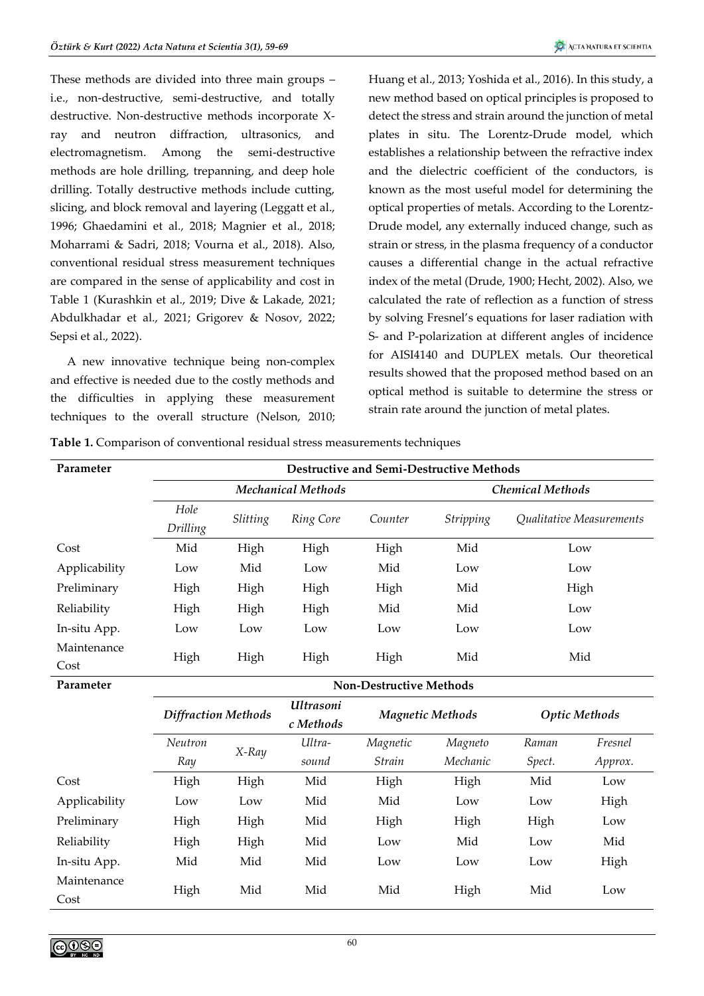These methods are divided into three main groups – i.e., non-destructive, semi-destructive, and totally destructive. Non-destructive methods incorporate Xray and neutron diffraction, ultrasonics, and electromagnetism. Among the semi-destructive methods are hole drilling, trepanning, and deep hole drilling. Totally destructive methods include cutting, slicing, and block removal and layering (Leggatt et al., 1996; Ghaedamini et al., 2018; Magnier et al., 2018; Moharrami & Sadri, 2018; Vourna et al., 2018). Also, conventional residual stress measurement techniques are compared in the sense of applicability and cost in Table 1 (Kurashkin et al., 2019; Dive & Lakade, 2021; Abdulkhadar et al., 2021; Grigorev & Nosov, 2022; Sepsi et al., 2022).

A new innovative technique being non-complex and effective is needed due to the costly methods and the difficulties in applying these measurement techniques to the overall structure (Nelson, 2010;

Huang et al., 2013; Yoshida et al., 2016). In this study, a new method based on optical principles is proposed to detect the stress and strain around the junction of metal plates in situ. The Lorentz-Drude model, which establishes a relationship between the refractive index and the dielectric coefficient of the conductors, is known as the most useful model for determining the optical properties of metals. According to the Lorentz-Drude model, any externally induced change, such as strain or stress, in the plasma frequency of a conductor causes a differential change in the actual refractive index of the metal (Drude, 1900; Hecht, 2002). Also, we calculated the rate of reflection as a function of stress by solving Fresnel's equations for laser radiation with S- and P-polarization at different angles of incidence for AISI4140 and DUPLEX metals. Our theoretical results showed that the proposed method based on an optical method is suitable to determine the stress or strain rate around the junction of metal plates.

|  |  |  |  |  |  |  |  | Table 1. Comparison of conventional residual stress measurements techniques |  |
|--|--|--|--|--|--|--|--|-----------------------------------------------------------------------------|--|
|--|--|--|--|--|--|--|--|-----------------------------------------------------------------------------|--|

| Parameter                  |                                | <b>Destructive and Semi-Destructive Methods</b> |                                                                                                |                         |                         |                                        |  |
|----------------------------|--------------------------------|-------------------------------------------------|------------------------------------------------------------------------------------------------|-------------------------|-------------------------|----------------------------------------|--|
|                            |                                |                                                 | <b>Mechanical Methods</b>                                                                      | <b>Chemical Methods</b> |                         |                                        |  |
|                            | Hole<br>Drilling               | Slitting                                        | Ring Core                                                                                      | Counter                 | <i><b>Stripping</b></i> | <i><b>Oualitative Measurements</b></i> |  |
| Cost                       | Mid                            | High                                            | High                                                                                           | High                    | Mid                     | Low                                    |  |
| Applicability              | Low                            | Mid                                             | Low                                                                                            | Mid                     | Low                     | Low                                    |  |
| Preliminary                | High                           | High                                            | High                                                                                           | High                    | Mid                     | High                                   |  |
| Reliability                | High                           | High                                            | High                                                                                           | Mid                     | Mid                     | Low                                    |  |
| In-situ App.               | Low                            | Low                                             | Low                                                                                            | Low                     | Low                     | Low                                    |  |
| Maintenance<br>Cost        | High                           | High                                            | High                                                                                           | High                    | Mid                     | Mid                                    |  |
| Parameter                  | <b>Non-Destructive Methods</b> |                                                 |                                                                                                |                         |                         |                                        |  |
| <b>Diffraction Methods</b> |                                |                                                 | <b>Ultrasoni</b><br>$\overline{1}$ $\overline{1}$ $\overline{1}$ $\overline{1}$ $\overline{1}$ | <b>Magnetic Methods</b> |                         | <b>Optic Methods</b>                   |  |

|               | Diffraction Methods |       | Magnetic Methods<br>c Methods |          |          | Optic Methods |         |
|---------------|---------------------|-------|-------------------------------|----------|----------|---------------|---------|
|               | Neutron             | X-Ray | Ultra-                        | Magnetic | Magneto  | Raman         | Fresnel |
|               | Ray                 |       | sound                         | Strain   | Mechanic | Spect.        | Approx. |
| Cost          | High                | High  | Mid                           | High     | High     | Mid           | Low     |
| Applicability | Low                 | Low   | Mid                           | Mid      | Low      | Low           | High    |
| Preliminary   | High                | High  | Mid                           | High     | High     | High          | Low     |
| Reliability   | High                | High  | Mid                           | Low      | Mid      | Low           | Mid     |
| In-situ App.  | Mid                 | Mid   | Mid                           | Low      | Low      | Low           | High    |
| Maintenance   | High                | Mid   | Mid                           | Mid      | High     | Mid           | Low     |
| Cost          |                     |       |                               |          |          |               |         |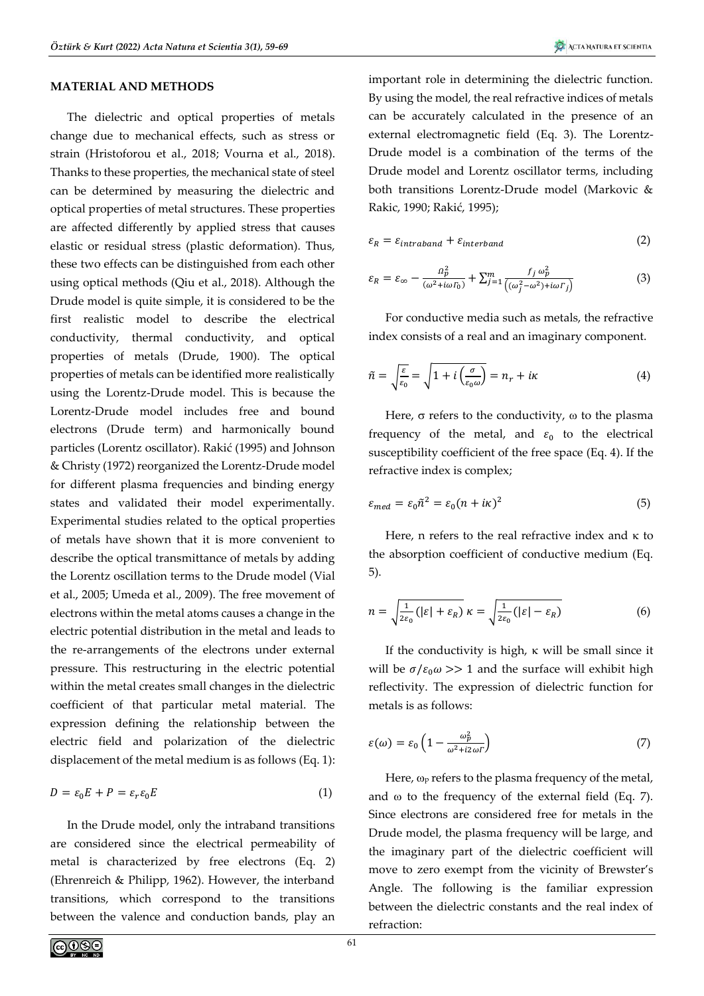### **MATERIAL AND METHODS**

The dielectric and optical properties of metals change due to mechanical effects, such as stress or strain (Hristoforou et al., 2018; Vourna et al., 2018). Thanks to these properties, the mechanical state of steel can be determined by measuring the dielectric and optical properties of metal structures. These properties are affected differently by applied stress that causes elastic or residual stress (plastic deformation). Thus, these two effects can be distinguished from each other using optical methods (Qiu et al., 2018). Although the Drude model is quite simple, it is considered to be the first realistic model to describe the electrical conductivity, thermal conductivity, and optical properties of metals (Drude, 1900). The optical properties of metals can be identified more realistically using the Lorentz-Drude model. This is because the Lorentz-Drude model includes free and bound electrons (Drude term) and harmonically bound particles (Lorentz oscillator). Rakić (1995) and Johnson & Christy (1972) reorganized the Lorentz-Drude model for different plasma frequencies and binding energy states and validated their model experimentally. Experimental studies related to the optical properties of metals have shown that it is more convenient to describe the optical transmittance of metals by adding the Lorentz oscillation terms to the Drude model (Vial et al., 2005; Umeda et al., 2009). The free movement of electrons within the metal atoms causes a change in the electric potential distribution in the metal and leads to the re-arrangements of the electrons under external pressure. This restructuring in the electric potential within the metal creates small changes in the dielectric coefficient of that particular metal material. The expression defining the relationship between the electric field and polarization of the dielectric displacement of the metal medium is as follows (Eq. 1):

$$
D = \varepsilon_0 E + P = \varepsilon_r \varepsilon_0 E \tag{1}
$$

In the Drude model, only the intraband transitions are considered since the electrical permeability of metal is characterized by free electrons (Eq. 2) (Ehrenreich & Philipp, 1962). However, the interband transitions, which correspond to the transitions between the valence and conduction bands, play an

important role in determining the dielectric function. By using the model, the real refractive indices of metals can be accurately calculated in the presence of an external electromagnetic field (Eq. 3). The Lorentz-Drude model is a combination of the terms of the Drude model and Lorentz oscillator terms, including both transitions Lorentz-Drude model (Markovic & Rakic, 1990; Rakić, 1995);

$$
\varepsilon_R = \varepsilon_{intraband} + \varepsilon_{interband}
$$
 (2)

$$
\varepsilon_R = \varepsilon_\infty - \frac{a_p^2}{(\omega^2 + i\omega F_0)} + \sum_{j=1}^m \frac{f_j \omega_p^2}{\left((\omega_j^2 - \omega^2) + i\omega F_j\right)}\tag{3}
$$

For conductive media such as metals, the refractive index consists of a real and an imaginary component.

$$
\tilde{n} = \sqrt{\frac{\varepsilon}{\varepsilon_0}} = \sqrt{1 + i \left(\frac{\sigma}{\varepsilon_0 \omega}\right)} = n_r + i\kappa \tag{4}
$$

Here,  $\sigma$  refers to the conductivity,  $\omega$  to the plasma frequency of the metal, and  $\varepsilon_0$  to the electrical susceptibility coefficient of the free space (Eq. 4). If the refractive index is complex;

$$
\varepsilon_{med} = \varepsilon_0 \tilde{n}^2 = \varepsilon_0 (n + i\kappa)^2 \tag{5}
$$

Here, n refers to the real refractive index and  $\kappa$  to the absorption coefficient of conductive medium (Eq. 5).

$$
n = \sqrt{\frac{1}{2\varepsilon_0} \left( |\varepsilon| + \varepsilon_R \right)} \, \kappa = \sqrt{\frac{1}{2\varepsilon_0} \left( |\varepsilon| - \varepsilon_R \right)} \tag{6}
$$

If the conductivity is high,  $\kappa$  will be small since it will be  $\sigma/\varepsilon_0 \omega >> 1$  and the surface will exhibit high reflectivity. The expression of dielectric function for metals is as follows:

$$
\varepsilon(\omega) = \varepsilon_0 \left( 1 - \frac{\omega_p^2}{\omega^2 + i2\omega r} \right) \tag{7}
$$

Here,  $\omega_{P}$  refers to the plasma frequency of the metal, and  $\omega$  to the frequency of the external field (Eq. 7). Since electrons are considered free for metals in the Drude model, the plasma frequency will be large, and the imaginary part of the dielectric coefficient will move to zero exempt from the vicinity of Brewster's Angle. The following is the familiar expression between the dielectric constants and the real index of refraction: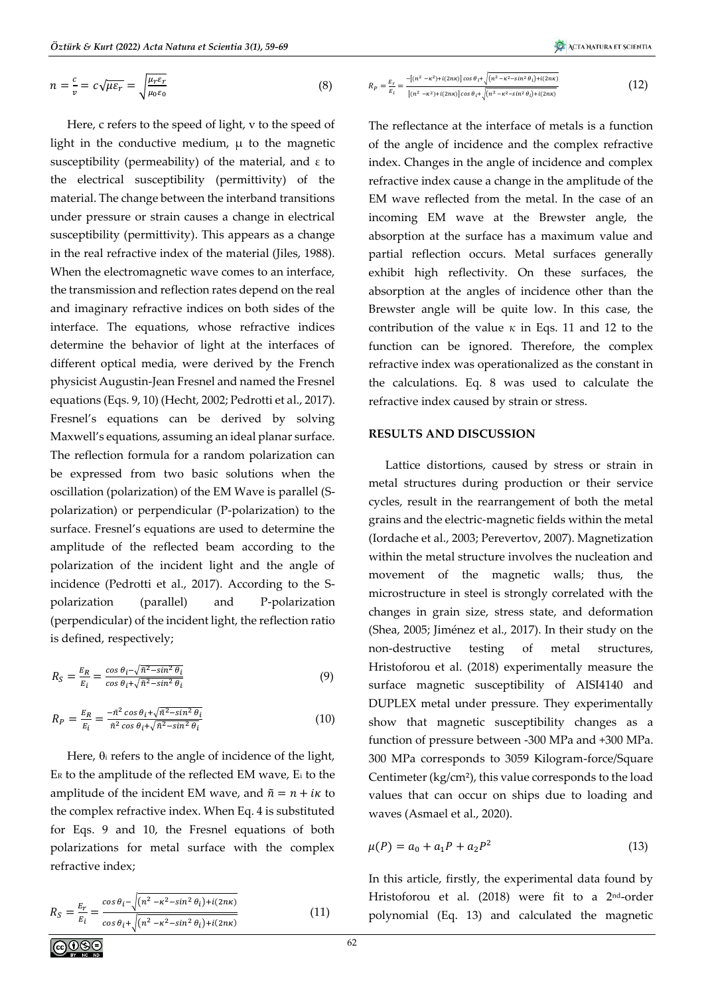$$
n = \frac{c}{v} = c\sqrt{\mu\varepsilon_r} = \sqrt{\frac{\mu_r\varepsilon_r}{\mu_0\varepsilon_0}}
$$
 (8)

Here, c refers to the speed of light, v to the speed of light in the conductive medium,  $\mu$  to the magnetic susceptibility (permeability) of the material, and ε to the electrical susceptibility (permittivity) of the material. The change between the interband transitions under pressure or strain causes a change in electrical susceptibility (permittivity). This appears as a change in the real refractive index of the material (Jiles, 1988). When the electromagnetic wave comes to an interface, the transmission and reflection rates depend on the real and imaginary refractive indices on both sides of the interface. The equations, whose refractive indices determine the behavior of light at the interfaces of different optical media, were derived by the French physicist Augustin-Jean Fresnel and named the Fresnel equations (Eqs. 9, 10) (Hecht, 2002; Pedrotti et al., 2017). Fresnel's equations can be derived by solving Maxwell's equations, assuming an ideal planar surface. The reflection formula for a random polarization can be expressed from two basic solutions when the oscillation (polarization) of the EM Wave is parallel (Spolarization) or perpendicular (P-polarization) to the surface. Fresnel's equations are used to determine the amplitude of the reflected beam according to the polarization of the incident light and the angle of incidence (Pedrotti et al., 2017). According to the Spolarization (parallel) and P-polarization (perpendicular) of the incident light, the reflection ratio is defined, respectively;

$$
R_S = \frac{E_R}{E_i} = \frac{\cos \theta_i - \sqrt{\tilde{n}^2 - \sin^2 \theta_i}}{\cos \theta_i + \sqrt{\tilde{n}^2 - \sin^2 \theta_i}}\tag{9}
$$

$$
R_P = \frac{E_R}{E_i} = \frac{-\tilde{n}^2 \cos \theta_i + \sqrt{\tilde{n}^2 - \sin^2 \theta_i}}{\tilde{n}^2 \cos \theta_i + \sqrt{\tilde{n}^2 - \sin^2 \theta_i}}
$$
(10)

Here,  $\theta_i$  refers to the angle of incidence of the light, E<sup>R</sup> to the amplitude of the reflected EM wave, E<sup>i</sup> to the amplitude of the incident EM wave, and  $\tilde{n} = n + i\kappa$  to the complex refractive index. When Eq. 4 is substituted for Eqs. 9 and 10, the Fresnel equations of both polarizations for metal surface with the complex refractive index;

$$
R_S = \frac{E_r}{E_i} = \frac{\cos \theta_i - \sqrt{(n^2 - \kappa^2 - \sin^2 \theta_i) + i(2n\kappa)}}{\cos \theta_i + \sqrt{(n^2 - \kappa^2 - \sin^2 \theta_i) + i(2n\kappa)}}
$$
(11)

$$
R_P = \frac{E_r}{E_i} = \frac{-[(n^2 - \kappa^2) + i(2n\kappa)]\cos\theta_i + \sqrt{(n^2 - \kappa^2 - \sin^2\theta_i) + i(2n\kappa)}}{[(n^2 - \kappa^2) + i(2n\kappa)]\cos\theta_i + \sqrt{(n^2 - \kappa^2 - \sin^2\theta_i) + i(2n\kappa)}}\tag{12}
$$

The reflectance at the interface of metals is a function of the angle of incidence and the complex refractive index. Changes in the angle of incidence and complex refractive index cause a change in the amplitude of the EM wave reflected from the metal. In the case of an incoming EM wave at the Brewster angle, the absorption at the surface has a maximum value and partial reflection occurs. Metal surfaces generally exhibit high reflectivity. On these surfaces, the absorption at the angles of incidence other than the Brewster angle will be quite low. In this case, the contribution of the value *κ* in Eqs. 11 and 12 to the function can be ignored. Therefore, the complex refractive index was operationalized as the constant in the calculations. Eq. 8 was used to calculate the refractive index caused by strain or stress.

### **RESULTS AND DISCUSSION**

Lattice distortions, caused by stress or strain in metal structures during production or their service cycles, result in the rearrangement of both the metal grains and the electric-magnetic fields within the metal (Iordache et al., 2003; Perevertov, 2007). Magnetization within the metal structure involves the nucleation and movement of the magnetic walls; thus, the microstructure in steel is strongly correlated with the changes in grain size, stress state, and deformation (Shea, 2005; Jiménez et al., 2017). In their study on the non-destructive testing of metal structures, Hristoforou et al. (2018) experimentally measure the surface magnetic susceptibility of AISI4140 and DUPLEX metal under pressure. They experimentally show that magnetic susceptibility changes as a function of pressure between -300 MPa and +300 MPa. 300 MPa corresponds to 3059 Kilogram-force/Square Centimeter (kg/cm²), this value corresponds to the load values that can occur on ships due to loading and waves (Asmael et al., 2020).

$$
\mu(P) = a_0 + a_1 P + a_2 P^2 \tag{13}
$$

In this article, firstly, the experimental data found by Hristoforou et al. (2018) were fit to a 2nd-order polynomial (Eq. 13) and calculated the magnetic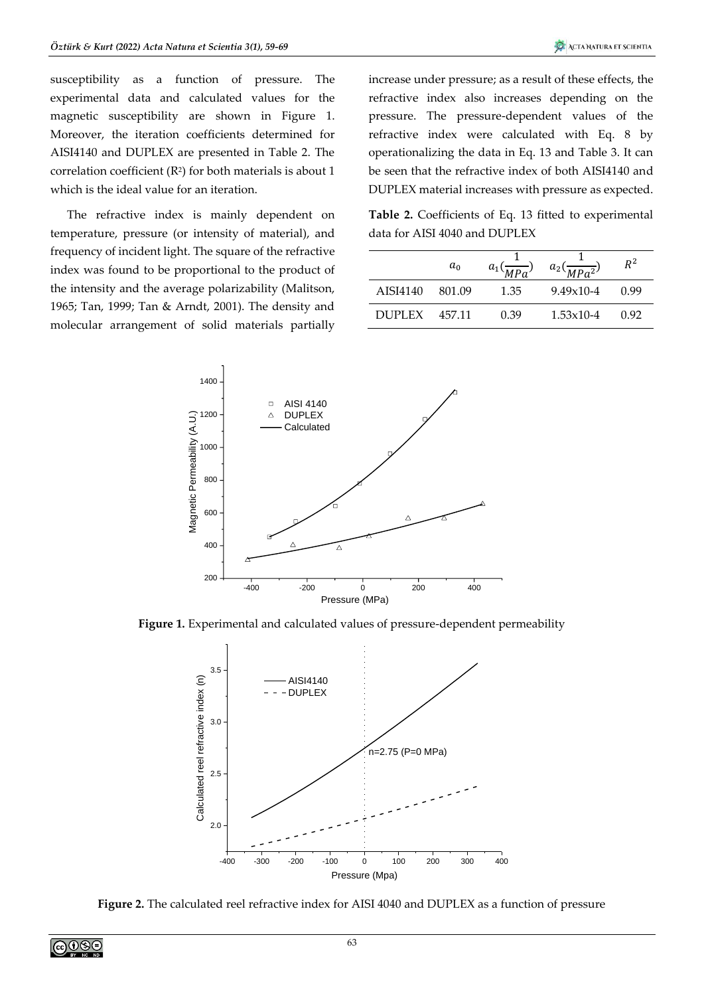susceptibility as a function of pressure. The experimental data and calculated values for the magnetic susceptibility are shown in Figure 1. Moreover, the iteration coefficients determined for AISI4140 and DUPLEX are presented in Table 2. The correlation coefficient  $(R^2)$  for both materials is about 1 which is the ideal value for an iteration.

The refractive index is mainly dependent on temperature, pressure (or intensity of material), and frequency of incident light. The square of the refractive index was found to be proportional to the product of the intensity and the average polarizability (Malitson, 1965; Tan, 1999; Tan & Arndt, 2001). The density and molecular arrangement of solid materials partially increase under pressure; as a result of these effects, the refractive index also increases depending on the pressure. The pressure-dependent values of the refractive index were calculated with Eq. 8 by operationalizing the data in Eq. 13 and Table 3. It can be seen that the refractive index of both AISI4140 and DUPLEX material increases with pressure as expected.

**Table 2.** Coefficients of Eq. 13 fitted to experimental data for AISI 4040 and DUPLEX

|               | $a_0$    | $a_1($ | $a_2($<br>$\overline{MPa^2}$ | $R^2$ |
|---------------|----------|--------|------------------------------|-------|
| AISI4140      | - 801.09 | 1.35   | $9.49x10-4$                  | O 99  |
| <b>DUPLEX</b> | 457.11   | 0.39   | $1.53 \times 10 - 4$         | 0.92  |



**Figure 1.** Experimental and calculated values of pressure-dependent permeability



**Figure 2.** The calculated reel refractive index for AISI 4040 and DUPLEX as a function of pressure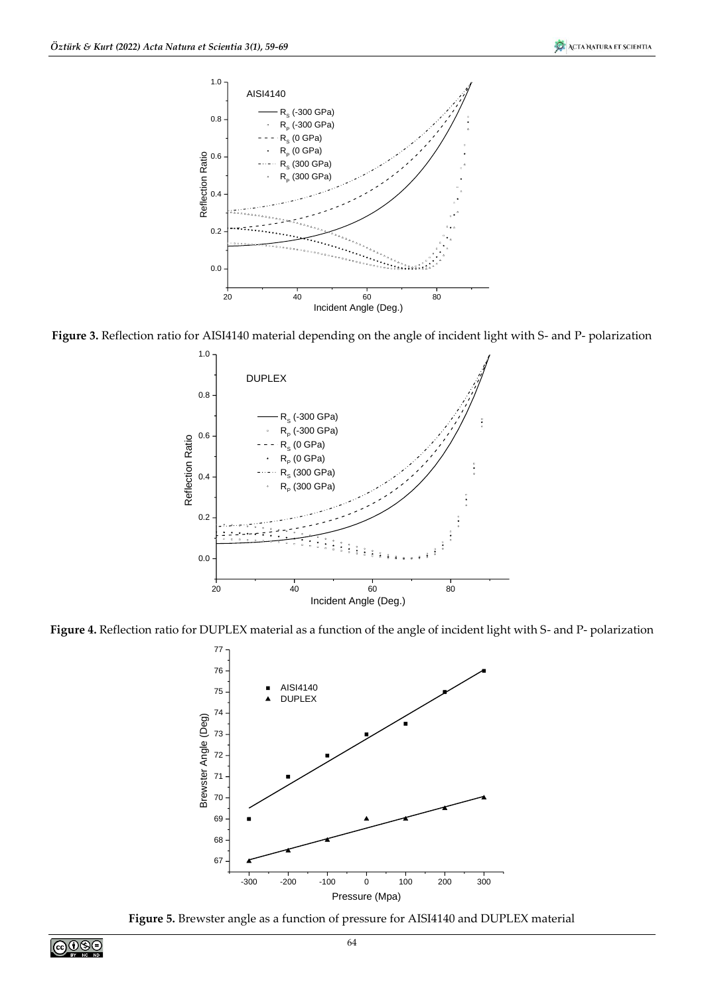

**Figure 3.** Reflection ratio for AISI4140 material depending on the angle of incident light with S- and P- polarization



**Figure 4.** Reflection ratio for DUPLEX material as a function of the angle of incident light with S- and P- polarization



**Figure 5.** Brewster angle as a function of pressure for AISI4140 and DUPLEX material

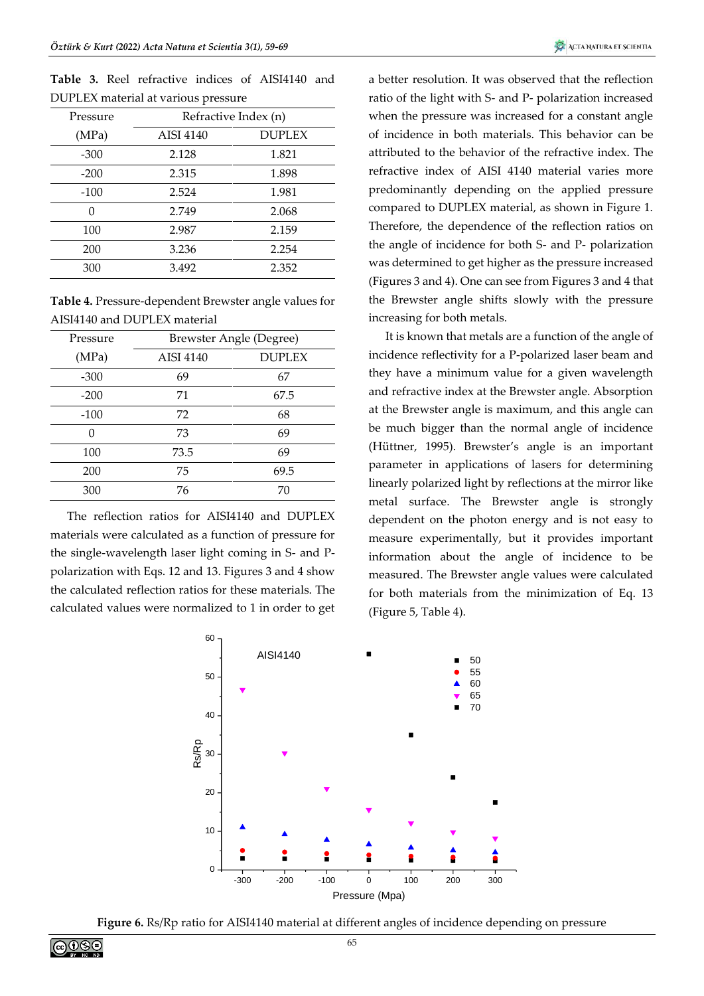**Table 3.** Reel refractive indices of AISI4140 and DUPLEX material at various pressure

| Pressure | Refractive Index (n) |               |  |  |  |
|----------|----------------------|---------------|--|--|--|
| (MPa)    | <b>AISI 4140</b>     | <b>DUPLEX</b> |  |  |  |
| $-300$   | 2.128                | 1.821         |  |  |  |
| $-200$   | 2.315                | 1.898         |  |  |  |
| $-100$   | 2.524                | 1.981         |  |  |  |
| 0        | 2.749                | 2.068         |  |  |  |
| 100      | 2.987                | 2.159         |  |  |  |
| 200      | 3.236                | 2.254         |  |  |  |
| 300      | 3.492                | 2.352         |  |  |  |
|          |                      |               |  |  |  |

**Table 4.** Pressure-dependent Brewster angle values for AISI4140 and DUPLEX material

| Pressure | Brewster Angle (Degree) |               |  |  |  |
|----------|-------------------------|---------------|--|--|--|
| (MPa)    | AISI 4140               | <b>DUPLEX</b> |  |  |  |
| $-300$   | 69                      | 67            |  |  |  |
| $-200$   | 71                      | 67.5          |  |  |  |
| $-100$   | 72                      | 68            |  |  |  |
| 0        | 73                      | 69            |  |  |  |
| 100      | 73.5                    | 69            |  |  |  |
| 200      | 75                      | 69.5          |  |  |  |
| 300      | 76                      | 70            |  |  |  |

The reflection ratios for AISI4140 and DUPLEX materials were calculated as a function of pressure for the single-wavelength laser light coming in S- and Ppolarization with Eqs. 12 and 13. Figures 3 and 4 show the calculated reflection ratios for these materials. The calculated values were normalized to 1 in order to get a better resolution. It was observed that the reflection ratio of the light with S- and P- polarization increased when the pressure was increased for a constant angle of incidence in both materials. This behavior can be attributed to the behavior of the refractive index. The refractive index of AISI 4140 material varies more predominantly depending on the applied pressure compared to DUPLEX material, as shown in Figure 1. Therefore, the dependence of the reflection ratios on the angle of incidence for both S- and P- polarization was determined to get higher as the pressure increased (Figures 3 and 4). One can see from Figures 3 and 4 that the Brewster angle shifts slowly with the pressure increasing for both metals.

It is known that metals are a function of the angle of incidence reflectivity for a P-polarized laser beam and they have a minimum value for a given wavelength and refractive index at the Brewster angle. Absorption at the Brewster angle is maximum, and this angle can be much bigger than the normal angle of incidence (Hüttner, 1995). Brewster's angle is an important parameter in applications of lasers for determining linearly polarized light by reflections at the mirror like metal surface. The Brewster angle is strongly dependent on the photon energy and is not easy to measure experimentally, but it provides important information about the angle of incidence to be measured. The Brewster angle values were calculated for both materials from the minimization of Eq. 13 (Figure 5, Table 4).



**Figure 6.** Rs/Rp ratio for AISI4140 material at different angles of incidence depending on pressure

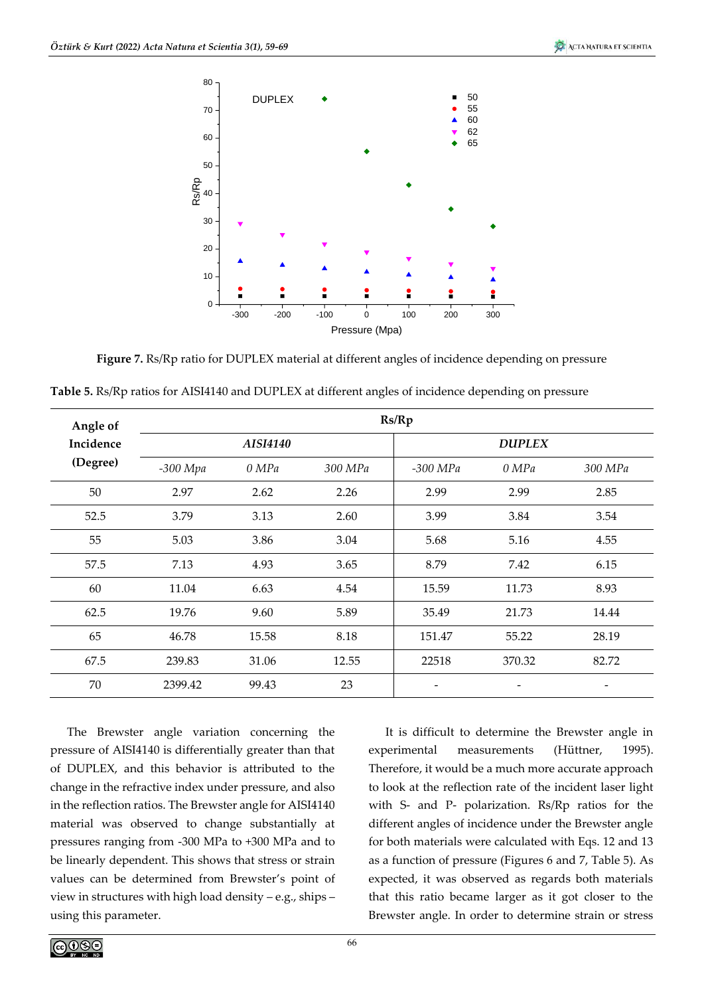

**Figure 7.** Rs/Rp ratio for DUPLEX material at different angles of incidence depending on pressure

|  | Table 5. Rs/Rp ratios for AISI4140 and DUPLEX at different angles of incidence depending on pressure |  |  |  |
|--|------------------------------------------------------------------------------------------------------|--|--|--|
|  |                                                                                                      |  |  |  |

| Angle of  |            |          |         | Rs/Rp    |               |         |
|-----------|------------|----------|---------|----------|---------------|---------|
| Incidence |            | AISI4140 |         |          | <b>DUPLEX</b> |         |
| (Degree)  | $-300$ Mpa | 0 MPa    | 300 MPa | -300 MPa | 0 MPa         | 300 MPa |
| 50        | 2.97       | 2.62     | 2.26    | 2.99     | 2.99          | 2.85    |
| 52.5      | 3.79       | 3.13     | 2.60    | 3.99     | 3.84          | 3.54    |
| 55        | 5.03       | 3.86     | 3.04    | 5.68     | 5.16          | 4.55    |
| 57.5      | 7.13       | 4.93     | 3.65    | 8.79     | 7.42          | 6.15    |
| 60        | 11.04      | 6.63     | 4.54    | 15.59    | 11.73         | 8.93    |
| 62.5      | 19.76      | 9.60     | 5.89    | 35.49    | 21.73         | 14.44   |
| 65        | 46.78      | 15.58    | 8.18    | 151.47   | 55.22         | 28.19   |
| 67.5      | 239.83     | 31.06    | 12.55   | 22518    | 370.32        | 82.72   |
| 70        | 2399.42    | 99.43    | 23      |          |               |         |

The Brewster angle variation concerning the pressure of AISI4140 is differentially greater than that of DUPLEX, and this behavior is attributed to the change in the refractive index under pressure, and also in the reflection ratios. The Brewster angle for AISI4140 material was observed to change substantially at pressures ranging from -300 MPa to +300 MPa and to be linearly dependent. This shows that stress or strain values can be determined from Brewster's point of view in structures with high load density – e.g., ships – using this parameter.

It is difficult to determine the Brewster angle in experimental measurements (Hüttner, 1995). Therefore, it would be a much more accurate approach to look at the reflection rate of the incident laser light with S- and P- polarization. Rs/Rp ratios for the different angles of incidence under the Brewster angle for both materials were calculated with Eqs. 12 and 13 as a function of pressure (Figures 6 and 7, Table 5). As expected, it was observed as regards both materials that this ratio became larger as it got closer to the Brewster angle. In order to determine strain or stress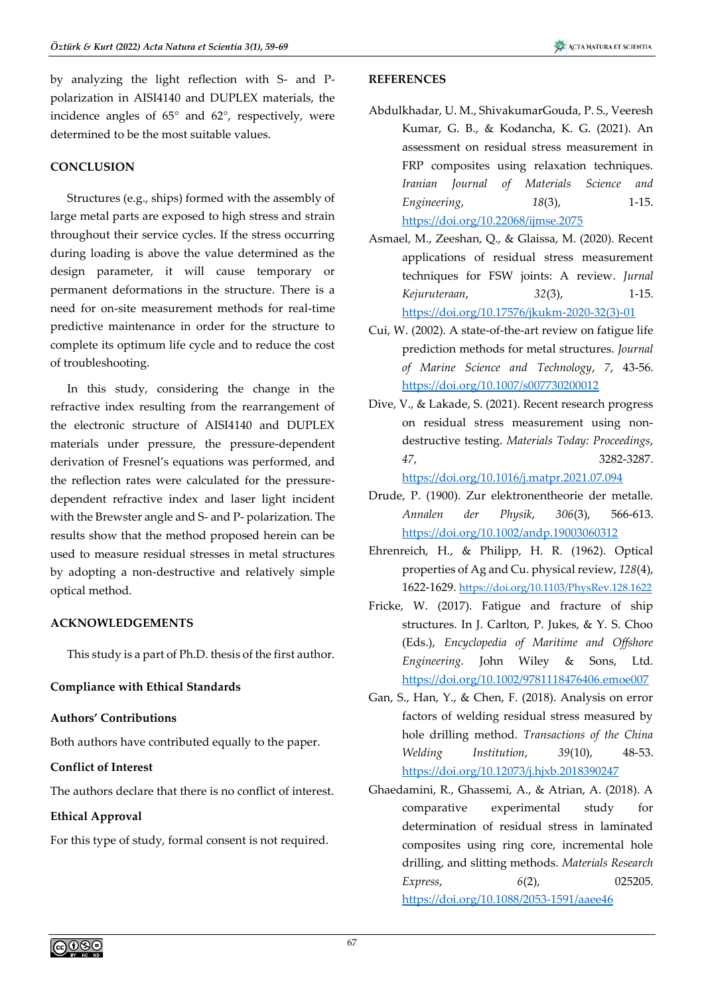by analyzing the light reflection with S- and Ppolarization in AISI4140 and DUPLEX materials, the incidence angles of 65° and 62°, respectively, were determined to be the most suitable values.

# **CONCLUSION**

Structures (e.g., ships) formed with the assembly of large metal parts are exposed to high stress and strain throughout their service cycles. If the stress occurring during loading is above the value determined as the design parameter, it will cause temporary or permanent deformations in the structure. There is a need for on-site measurement methods for real-time predictive maintenance in order for the structure to complete its optimum life cycle and to reduce the cost of troubleshooting.

In this study, considering the change in the refractive index resulting from the rearrangement of the electronic structure of AISI4140 and DUPLEX materials under pressure, the pressure-dependent derivation of Fresnel's equations was performed, and the reflection rates were calculated for the pressuredependent refractive index and laser light incident with the Brewster angle and S- and P- polarization. The results show that the method proposed herein can be used to measure residual stresses in metal structures by adopting a non-destructive and relatively simple optical method.

# **ACKNOWLEDGEMENTS**

This study is a part of Ph.D. thesis of the first author.

# **Compliance with Ethical Standards**

# **Authors' Contributions**

Both authors have contributed equally to the paper.

# **Conflict of Interest**

The authors declare that there is no conflict of interest.

# **Ethical Approval**

For this type of study, formal consent is not required.

### **REFERENCES**

- Abdulkhadar, U. M., ShivakumarGouda, P. S., Veeresh Kumar, G. B., & Kodancha, K. G. (2021). An assessment on residual stress measurement in FRP composites using relaxation techniques. *Iranian Journal of Materials Science and Engineering*, *18*(3), 1-15. <https://doi.org/10.22068/ijmse.2075>
- Asmael, M., Zeeshan, Q., & Glaissa, M. (2020). Recent applications of residual stress measurement techniques for FSW joints: A review. *Jurnal Kejuruteraan*, *32*(3), 1-15. [https://doi.org/10.17576/jkukm-2020-32\(3\)-01](https://doi.org/10.17576/jkukm-2020-32(3)-01)
- Cui, W. (2002). A state-of-the-art review on fatigue life prediction methods for metal structures. *Journal of Marine Science and Technology*, *7*, 43-56. <https://doi.org/10.1007/s007730200012>
- Dive, V., & Lakade, S. (2021). Recent research progress on residual stress measurement using nondestructive testing. *Materials Today: Proceedings*, *47*, 3282-3287.

<https://doi.org/10.1016/j.matpr.2021.07.094>

- Drude, P. (1900). Zur elektronentheorie der metalle. *Annalen der Physik*, *306*(3), 566-613. <https://doi.org/10.1002/andp.19003060312>
- Ehrenreich, H., & Philipp, H. R. (1962). Optical properties of Ag and Cu. physical review, *128*(4), 1622-1629. <https://doi.org/10.1103/PhysRev.128.1622>
- Fricke, W. (2017). Fatigue and fracture of ship structures. In J. Carlton, P. Jukes, & Y. S. Choo (Eds.), *Encyclopedia of Maritime and Offshore Engineering.* John Wiley & Sons, Ltd. <https://doi.org/10.1002/9781118476406.emoe007>
- Gan, S., Han, Y., & Chen, F. (2018). Analysis on error factors of welding residual stress measured by hole drilling method. *Transactions of the China Welding Institution*, *39*(10), 48-53. <https://doi.org/10.12073/j.hjxb.2018390247>
- Ghaedamini, R., Ghassemi, A., & Atrian, A. (2018). A comparative experimental study for determination of residual stress in laminated composites using ring core, incremental hole drilling, and slitting methods. *Materials Research Express*, *6*(2), 025205. <https://doi.org/10.1088/2053-1591/aaee46>

ெ⊕ை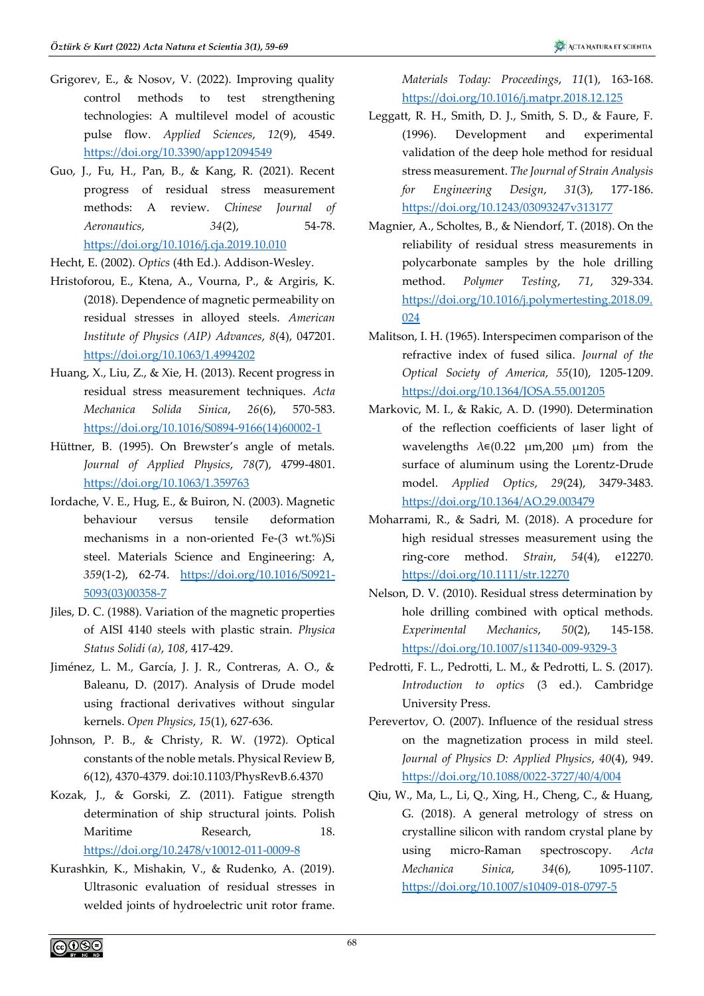- Grigorev, E., & Nosov, V. (2022). Improving quality control methods to test strengthening technologies: A multilevel model of acoustic pulse flow. *Applied Sciences*, *12*(9), 4549. <https://doi.org/10.3390/app12094549>
- Guo, J., Fu, H., Pan, B., & Kang, R. (2021). Recent progress of residual stress measurement methods: A review. *Chinese Journal of Aeronautics*, *34*(2), 54-78. <https://doi.org/10.1016/j.cja.2019.10.010>
- Hecht, E. (2002). *Optics* (4th Ed.). Addison-Wesley.
- Hristoforou, E., Ktena, A., Vourna, P., & Argiris, K. (2018). Dependence of magnetic permeability on residual stresses in alloyed steels. *American Institute of Physics (AIP) Advances*, *8*(4), 047201. <https://doi.org/10.1063/1.4994202>
- Huang, X., Liu, Z., & Xie, H. (2013). Recent progress in residual stress measurement techniques. *Acta Mechanica Solida Sinica*, *26*(6), 570-583. [https://doi.org/10.1016/S0894-9166\(14\)60002-1](https://doi.org/10.1016/S0894-9166(14)60002-1)
- Hüttner, B. (1995). On Brewster's angle of metals. *Journal of Applied Physics*, *78*(7), 4799-4801. <https://doi.org/10.1063/1.359763>
- Iordache, V. E., Hug, E., & Buiron, N. (2003). Magnetic behaviour versus tensile deformation mechanisms in a non-oriented Fe-(3 wt.%)Si steel. Materials Science and Engineering: A, *359*(1-2), 62-74. [https://doi.org/10.1016/S0921-](https://doi.org/10.1016/S0921-5093(03)00358-7) [5093\(03\)00358-7](https://doi.org/10.1016/S0921-5093(03)00358-7)
- Jiles, D. C. (1988). Variation of the magnetic properties of AISI 4140 steels with plastic strain. *Physica Status Solidi (a)*, *108*, 417-429.
- Jiménez, L. M., García, J. J. R., Contreras, A. O., & Baleanu, D. (2017). Analysis of Drude model using fractional derivatives without singular kernels. *Open Physics*, *15*(1), 627-636.
- Johnson, P. B., & Christy, R. W. (1972). Optical constants of the noble metals. Physical Review B, 6(12), 4370-4379. doi:10.1103/PhysRevB.6.4370
- Kozak, J., & Gorski, Z. (2011). Fatigue strength determination of ship structural joints. Polish Maritime Research, 18. <https://doi.org/10.2478/v10012-011-0009-8>
- Kurashkin, K., Mishakin, V., & Rudenko, A. (2019). Ultrasonic evaluation of residual stresses in welded joints of hydroelectric unit rotor frame.

*Materials Today: Proceedings*, *11*(1), 163-168. <https://doi.org/10.1016/j.matpr.2018.12.125>

- Leggatt, R. H., Smith, D. J., Smith, S. D., & Faure, F. (1996). Development and experimental validation of the deep hole method for residual stress measurement. *The Journal of Strain Analysis for Engineering Design*, *31*(3), 177-186. <https://doi.org/10.1243/03093247v313177>
- Magnier, A., Scholtes, B., & Niendorf, T. (2018). On the reliability of residual stress measurements in polycarbonate samples by the hole drilling method. *Polymer Testing*, *71*, 329-334. [https://doi.org/10.1016/j.polymertesting.2018.09.](https://doi.org/10.1016/j.polymertesting.2018.09.024) [024](https://doi.org/10.1016/j.polymertesting.2018.09.024)
- Malitson, I. H. (1965). Interspecimen comparison of the refractive index of fused silica. *Journal of the Optical Society of America*, *55*(10), 1205-1209. <https://doi.org/10.1364/JOSA.55.001205>
- Markovic, M. I., & Rakic, A. D. (1990). Determination of the reflection coefficients of laser light of wavelengths  $\lambda \in (0.22 \mu m, 200 \mu m)$  from the surface of aluminum using the Lorentz-Drude model. *Applied Optics*, *29*(24), 3479-3483. <https://doi.org/10.1364/AO.29.003479>
- Moharrami, R., & Sadri, M. (2018). A procedure for high residual stresses measurement using the ring‐core method. *Strain*, *54*(4), e12270. <https://doi.org/10.1111/str.12270>
- Nelson, D. V. (2010). Residual stress determination by hole drilling combined with optical methods. *Experimental Mechanics*, *50*(2), 145-158. <https://doi.org/10.1007/s11340-009-9329-3>
- Pedrotti, F. L., Pedrotti, L. M., & Pedrotti, L. S. (2017). *Introduction to optics* (3 ed.). Cambridge University Press.
- Perevertov, O. (2007). Influence of the residual stress on the magnetization process in mild steel. *Journal of Physics D: Applied Physics*, *40*(4), 949. <https://doi.org/10.1088/0022-3727/40/4/004>
- Qiu, W., Ma, L., Li, Q., Xing, H., Cheng, C., & Huang, G. (2018). A general metrology of stress on crystalline silicon with random crystal plane by using micro-Raman spectroscopy. *Acta Mechanica Sinica*, *34*(6), 1095-1107. <https://doi.org/10.1007/s10409-018-0797-5>